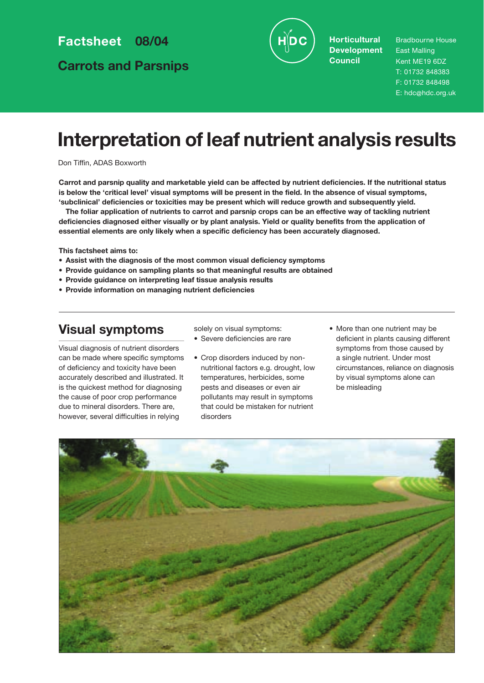**Factsheet 08/04**

**Carrots and Parsnips**



**Horticultural Development Council**

Bradbourne House East Malling Kent ME19 6DZ T: 01732 848383 F: 01732 848498 E: hdc@hdc.org.uk

# **Interpretation of leaf nutrient analysis results**

Don Tiffin, ADAS Boxworth

**Carrot and parsnip quality and marketable yield can be affected by nutrient deficiencies. If the nutritional status is below the 'critical level' visual symptoms will be present in the field. In the absence of visual symptoms, 'subclinical' deficiencies or toxicities may be present which will reduce growth and subsequently yield.**

**The foliar application of nutrients to carrot and parsnip crops can be an effective way of tackling nutrient deficiencies diagnosed either visually or by plant analysis. Yield or quality benefits from the application of essential elements are only likely when a specific deficiency has been accurately diagnosed.** 

**This factsheet aims to:**

- **Assist with the diagnosis of the most common visual deficiency symptoms**
- **Provide guidance on sampling plants so that meaningful results are obtained**
- **Provide guidance on interpreting leaf tissue analysis results**
- **Provide information on managing nutrient deficiencies**

## **Visual symptoms**

solely on visual symptoms: • Severe deficiencies are rare

Visual diagnosis of nutrient disorders can be made where specific symptoms of deficiency and toxicity have been accurately described and illustrated. It is the quickest method for diagnosing the cause of poor crop performance due to mineral disorders. There are, however, several difficulties in relying

• Crop disorders induced by nonnutritional factors e.g. drought, low temperatures, herbicides, some pests and diseases or even air pollutants may result in symptoms that could be mistaken for nutrient disorders

• More than one nutrient may be deficient in plants causing different symptoms from those caused by a single nutrient. Under most circumstances, reliance on diagnosis by visual symptoms alone can be misleading

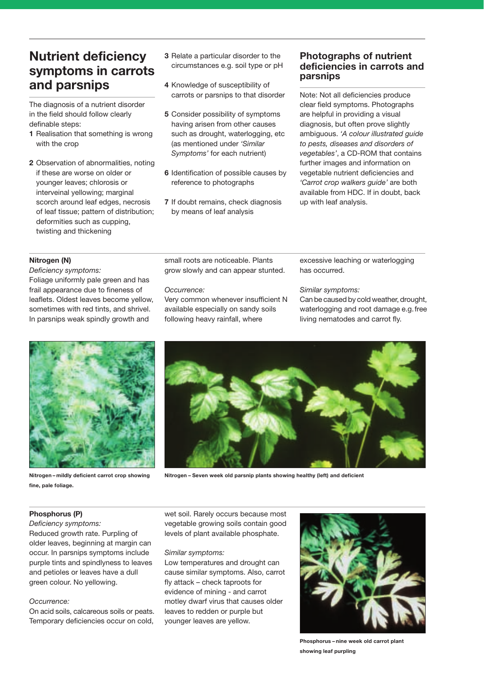## **Nutrient deficiency symptoms in carrots and parsnips**

The diagnosis of a nutrient disorder in the field should follow clearly definable steps:

- **1** Realisation that something is wrong with the crop
- **2** Observation of abnormalities, noting if these are worse on older or younger leaves; chlorosis or interveinal yellowing; marginal scorch around leaf edges, necrosis of leaf tissue; pattern of distribution; deformities such as cupping, twisting and thickening
- **3** Relate a particular disorder to the circumstances e.g. soil type or pH
- **4** Knowledge of susceptibility of carrots or parsnips to that disorder
- **5** Consider possibility of symptoms having arisen from other causes such as drought, waterlogging, etc (as mentioned under *'Similar Symptoms'* for each nutrient)
- **6** Identification of possible causes by reference to photographs
- **7** If doubt remains, check diagnosis by means of leaf analysis

## **Photographs of nutrient deficiencies in carrots and parsnips**

Note: Not all deficiencies produce clear field symptoms. Photographs are helpful in providing a visual diagnosis, but often prove slightly ambiguous. *'A colour illustrated guide to pests, diseases and disorders of vegetables'*, a CD-ROM that contains further images and information on vegetable nutrient deficiencies and *'Carrot crop walkers guide'* are both available from HDC. If in doubt, back up with leaf analysis.

## **Nitrogen (N)**

*Deficiency symptoms:* Foliage uniformly pale green and has frail appearance due to fineness of leaflets. Oldest leaves become yellow, sometimes with red tints, and shrivel. In parsnips weak spindly growth and

small roots are noticeable. Plants grow slowly and can appear stunted.

### *Occurrence:*

Very common whenever insufficient N available especially on sandy soils following heavy rainfall, where

excessive leaching or waterlogging has occurred.

## *Similar symptoms:*

Can be caused by cold weather, drought, waterlogging and root damage e.g.free living nematodes and carrot fly.



**Nitrogen – mildly deficient carrot crop showing fine, pale foliage.**



**Nitrogen – Seven week old parsnip plants showing healthy (left) and deficient**

## **Phosphorus (P)**

*Deficiency symptoms:* 

Reduced growth rate. Purpling of older leaves, beginning at margin can occur. In parsnips symptoms include purple tints and spindlyness to leaves and petioles or leaves have a dull green colour. No yellowing.

#### *Occurrence:*

On acid soils, calcareous soils or peats. Temporary deficiencies occur on cold, wet soil. Rarely occurs because most vegetable growing soils contain good levels of plant available phosphate.

#### *Similar symptoms:*

Low temperatures and drought can cause similar symptoms. Also, carrot fly attack – check taproots for evidence of mining - and carrot motley dwarf virus that causes older leaves to redden or purple but younger leaves are yellow.



**Phosphorus – nine week old carrot plant showing leaf purpling**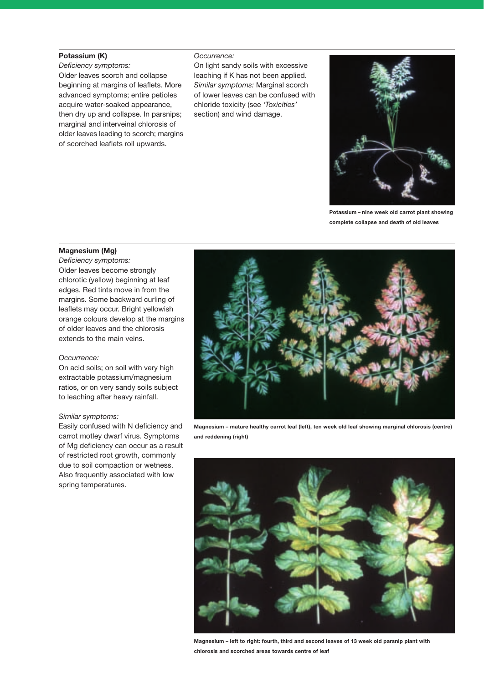## **Potassium (K)**

*Deficiency symptoms:*  Older leaves scorch and collapse beginning at margins of leaflets. More advanced symptoms; entire petioles acquire water-soaked appearance, then dry up and collapse. In parsnips; marginal and interveinal chlorosis of older leaves leading to scorch; margins of scorched leaflets roll upwards.

#### *Occurrence:*

On light sandy soils with excessive leaching if K has not been applied. *Similar symptoms:* Marginal scorch of lower leaves can be confused with chloride toxicity (see *'Toxicities'* section) and wind damage.



**Potassium – nine week old carrot plant showing complete collapse and death of old leaves**

#### **Magnesium (Mg)**

*Deficiency symptoms:* Older leaves become strongly chlorotic (yellow) beginning at leaf edges. Red tints move in from the margins. Some backward curling of leaflets may occur. Bright yellowish orange colours develop at the margins of older leaves and the chlorosis extends to the main veins.

#### *Occurrence:*

On acid soils; on soil with very high extractable potassium/magnesium ratios, or on very sandy soils subject to leaching after heavy rainfall.

#### *Similar symptoms:*

Easily confused with N deficiency and carrot motley dwarf virus. Symptoms of Mg deficiency can occur as a result of restricted root growth, commonly due to soil compaction or wetness. Also frequently associated with low spring temperatures.



**Magnesium – mature healthy carrot leaf (left), ten week old leaf showing marginal chlorosis (centre) and reddening (right)**



**Magnesium – left to right: fourth, third and second leaves of 13 week old parsnip plant with chlorosis and scorched areas towards centre of leaf**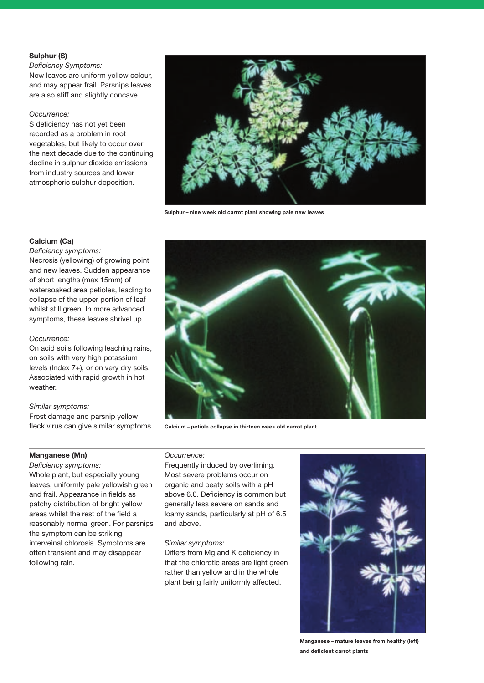## **Sulphur (S)**

*Deficiency Symptoms:* New leaves are uniform yellow colour, and may appear frail. Parsnips leaves are also stiff and slightly concave

### *Occurrence:*

S deficiency has not yet been recorded as a problem in root vegetables, but likely to occur over the next decade due to the continuing decline in sulphur dioxide emissions from industry sources and lower atmospheric sulphur deposition.



**Sulphur – nine week old carrot plant showing pale new leaves**

## **Calcium (Ca)**

*Deficiency symptoms:* Necrosis (yellowing) of growing point and new leaves. Sudden appearance of short lengths (max 15mm) of watersoaked area petioles, leading to collapse of the upper portion of leaf whilst still green. In more advanced symptoms, these leaves shrivel up.

## *Occurrence:*

On acid soils following leaching rains, on soils with very high potassium levels (Index 7+), or on very dry soils. Associated with rapid growth in hot weather.

#### *Similar symptoms:*

Frost damage and parsnip yellow fleck virus can give similar symptoms.

## **Manganese (Mn)**

*Deficiency symptoms:*  Whole plant, but especially young leaves, uniformly pale yellowish green and frail. Appearance in fields as patchy distribution of bright yellow areas whilst the rest of the field a reasonably normal green. For parsnips the symptom can be striking interveinal chlorosis. Symptoms are often transient and may disappear following rain.



**Calcium – petiole collapse in thirteen week old carrot plant**

*Occurrence:* 

Frequently induced by overliming. Most severe problems occur on organic and peaty soils with a pH above 6.0. Deficiency is common but generally less severe on sands and loamy sands, particularly at pH of 6.5 and above.

#### *Similar symptoms:*

Differs from Mg and K deficiency in that the chlorotic areas are light green rather than yellow and in the whole plant being fairly uniformly affected.



**Manganese – mature leaves from healthy (left) and deficient carrot plants**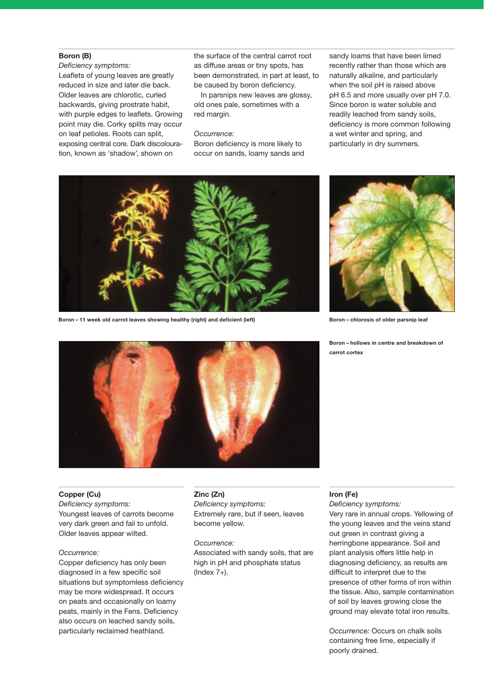### **Boron (B)**

*Deficiency symptoms:* Leaflets of young leaves are greatly reduced in size and later die back. Older leaves are chlorotic, curled backwards, giving prostrate habit, with purple edges to leaflets. Growing point may die. Corky splits may occur on leaf petioles. Roots can split, exposing central core. Dark discolouration, known as 'shadow', shown on

the surface of the central carrot root as diffuse areas or tiny spots, has been demonstrated, in part at least, to be caused by boron deficiency.

In parsnips new leaves are glossy, old ones pale, sometimes with a red margin.

#### *Occurrence:*

Boron deficiency is more likely to occur on sands, loamy sands and sandy loams that have been limed recently rather than those which are naturally alkaline, and particularly when the soil pH is raised above pH 6.5 and more usually over pH 7.0. Since boron is water soluble and readily leached from sandy soils, deficiency is more common following a wet winter and spring, and particularly in dry summers.



**Boron – 11 week old carrot leaves showing healthy (right) and deficient (left)**



**Boron – chlorosis of older parsnip leaf**

**Boron – hollows in centre and breakdown of carrot cortex**



## **Copper (Cu)**

*Deficiency symptoms:* Youngest leaves of carrots become very dark green and fail to unfold. Older leaves appear wilted.

#### *Occurrence:*

Copper deficiency has only been diagnosed in a few specific soil situations but symptomless deficiency may be more widespread. It occurs on peats and occasionally on loamy peats, mainly in the Fens. Deficiency also occurs on leached sandy soils, particularly reclaimed heathland.

#### **Zinc (Zn)**

*Deficiency symptoms:*  Extremely rare, but if seen, leaves become yellow.

*Occurrence:*

Associated with sandy soils, that are high in pH and phosphate status (Index 7+).

## **Iron (Fe)**

*Deficiency symptoms:* 

Very rare in annual crops. Yellowing of the young leaves and the veins stand out green in contrast giving a herringbone appearance. Soil and plant analysis offers little help in diagnosing deficiency, as results are difficult to interpret due to the presence of other forms of iron within the tissue. Also, sample contamination of soil by leaves growing close the ground may elevate total iron results.

*Occurrence:* Occurs on chalk soils containing free lime, especially if poorly drained.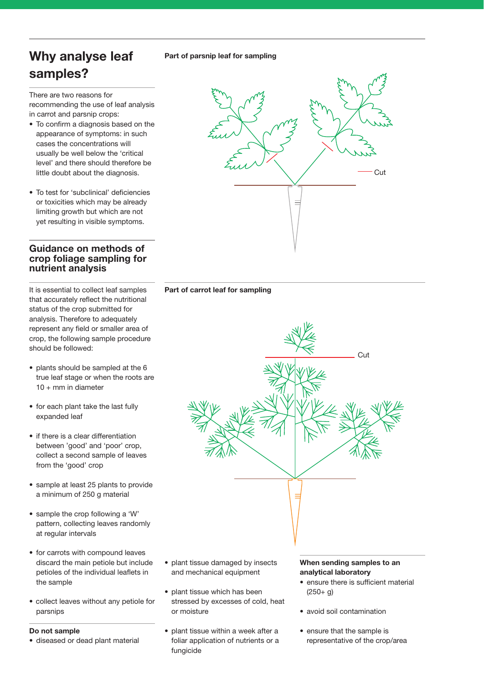## **Part of parsnip leaf for sampling**

## **Why analyse leaf samples?**

There are two reasons for recommending the use of leaf analysis in carrot and parsnip crops:

- To confirm a diagnosis based on the appearance of symptoms: in such cases the concentrations will usually be well below the 'critical level' and there should therefore be little doubt about the diagnosis.
- To test for 'subclinical' deficiencies or toxicities which may be already limiting growth but which are not yet resulting in visible symptoms.

## **Guidance on methods of crop foliage sampling for nutrient analysis**

It is essential to collect leaf samples that accurately reflect the nutritional status of the crop submitted for analysis. Therefore to adequately represent any field or smaller area of crop, the following sample procedure should be followed:

- plants should be sampled at the 6 true leaf stage or when the roots are 10 + mm in diameter
- for each plant take the last fully expanded leaf
- if there is a clear differentiation between 'good' and 'poor' crop, collect a second sample of leaves from the 'good' crop
- sample at least 25 plants to provide a minimum of 250 g material
- sample the crop following a 'W' pattern, collecting leaves randomly at regular intervals
- for carrots with compound leaves discard the main petiole but include petioles of the individual leaflets in the sample
- collect leaves without any petiole for parsnips

## **Do not sample**

- diseased or dead plant material
- plant tissue damaged by insects and mechanical equipment
- plant tissue which has been stressed by excesses of cold, heat or moisture
- plant tissue within a week after a foliar application of nutrients or a fungicide

## **When sending samples to an analytical laboratory**

- ensure there is sufficient material  $(250 + g)$
- avoid soil contamination
- ensure that the sample is representative of the crop/area



## **Part of carrot leaf for sampling**

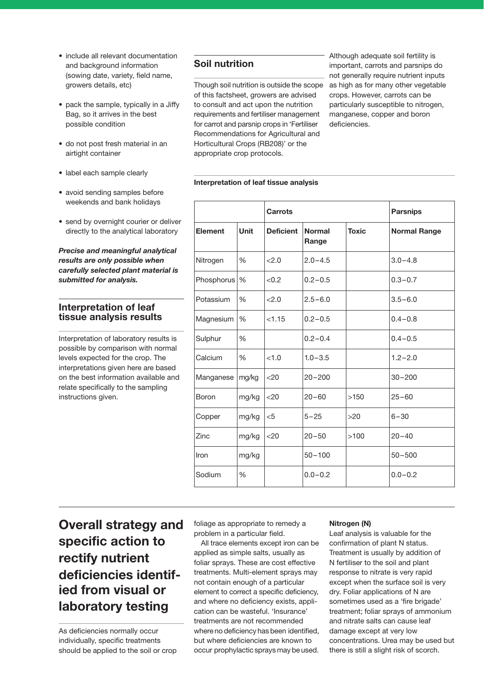- include all relevant documentation and background information (sowing date, variety, field name, growers details, etc)
- pack the sample, typically in a Jiffy Bag, so it arrives in the best possible condition
- do not post fresh material in an airtight container
- label each sample clearly
- avoid sending samples before weekends and bank holidays
- send by overnight courier or deliver directly to the analytical laboratory

## *Precise and meaningful analytical results are only possible when carefully selected plant material is submitted for analysis.*

## **Interpretation of leaf tissue analysis results**

Interpretation of laboratory results is possible by comparison with normal levels expected for the crop. The interpretations given here are based on the best information available and relate specifically to the sampling instructions given.

## **Soil nutrition**

Though soil nutrition is outside the scope of this factsheet, growers are advised to consult and act upon the nutrition requirements and fertiliser management for carrot and parsnip crops in 'Fertiliser Recommendations for Agricultural and Horticultural Crops (RB208)' or the appropriate crop protocols.

Although adequate soil fertility is important, carrots and parsnips do not generally require nutrient inputs as high as for many other vegetable crops. However, carrots can be particularly susceptible to nitrogen, manganese, copper and boron deficiencies.

### **Interpretation of leaf tissue analysis**

|                |               | Carrots          |                        |              | <b>Parsnips</b>     |
|----------------|---------------|------------------|------------------------|--------------|---------------------|
| <b>Element</b> | <b>Unit</b>   | <b>Deficient</b> | <b>Normal</b><br>Range | <b>Toxic</b> | <b>Normal Range</b> |
| Nitrogen       | $\%$          | 22.0             | $2.0 - 4.5$            |              | $3.0 - 4.8$         |
| Phosphorus     | %             | < 0.2            | $0.2 - 0.5$            |              | $0.3 - 0.7$         |
| Potassium      | $\frac{0}{6}$ | 22.0             | $2.5 - 6.0$            |              | $3.5 - 6.0$         |
| Magnesium      | %             | < 1.15           | $0.2 - 0.5$            |              | $0.4 - 0.8$         |
| Sulphur        | $\frac{0}{0}$ |                  | $0.2 - 0.4$            |              | $0.4 - 0.5$         |
| Calcium        | $\frac{0}{6}$ | < 1.0            | $1.0 - 3.5$            |              | $1.2 - 2.0$         |
| Manganese      | mg/kg         | $<$ 20           | $20 - 200$             |              | $30 - 200$          |
| <b>Boron</b>   | mg/kg         | $<$ 20           | $20 - 60$              | >150         | $25 - 60$           |
| Copper         | mg/kg         | $<$ 5            | $5 - 25$               | >20          | $6 - 30$            |
| Zinc           | mg/kg         | $<$ 20           | $20 - 50$              | >100         | $20 - 40$           |
| Iron           | mg/kg         |                  | $50 - 100$             |              | $50 - 500$          |
| Sodium         | $\frac{0}{0}$ |                  | $0.0 - 0.2$            |              | $0.0 - 0.2$         |

## **Overall strategy and specific action to rectify nutrient deficiencies identified from visual or laboratory testing**

As deficiencies normally occur individually, specific treatments should be applied to the soil or crop foliage as appropriate to remedy a problem in a particular field.

All trace elements except iron can be applied as simple salts, usually as foliar sprays. These are cost effective treatments. Multi-element sprays may not contain enough of a particular element to correct a specific deficiency, and where no deficiency exists, application can be wasteful. 'Insurance' treatments are not recommended where no deficiency has been identified, but where deficiencies are known to occur prophylactic sprays may be used.

## **Nitrogen (N)**

Leaf analysis is valuable for the confirmation of plant N status. Treatment is usually by addition of N fertiliser to the soil and plant response to nitrate is very rapid except when the surface soil is very dry. Foliar applications of N are sometimes used as a 'fire brigade' treatment; foliar sprays of ammonium and nitrate salts can cause leaf damage except at very low concentrations. Urea may be used but there is still a slight risk of scorch.